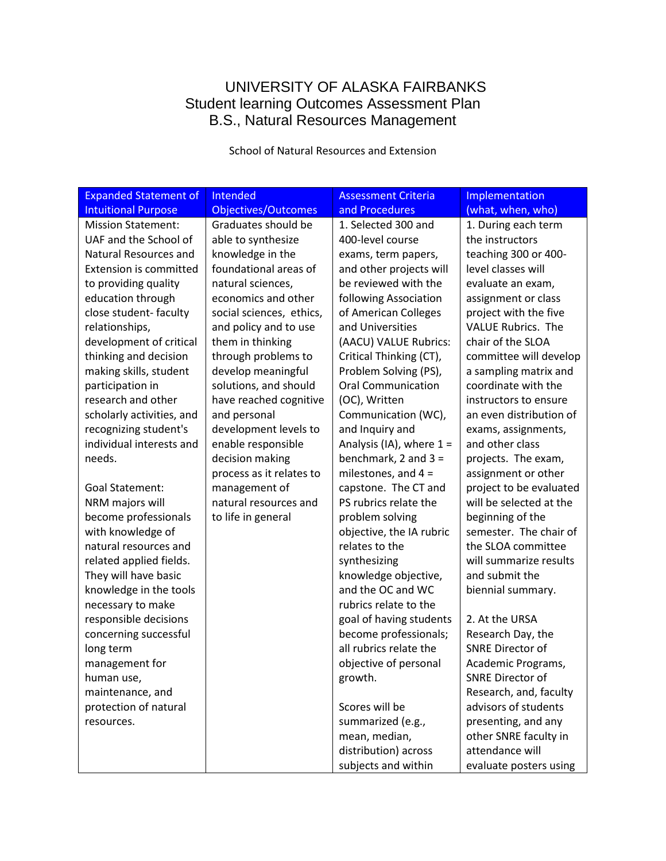### UNIVERSITY OF ALASKA FAIRBANKS Student learning Outcomes Assessment Plan B.S., Natural Resources Management

School of Natural Resources and Extension

| <b>Expanded Statement of</b>  | Intended                   | <b>Assessment Criteria</b> | Implementation            |
|-------------------------------|----------------------------|----------------------------|---------------------------|
| <b>Intuitional Purpose</b>    | <b>Objectives/Outcomes</b> | and Procedures             | (what, when, who)         |
| <b>Mission Statement:</b>     | Graduates should be        | 1. Selected 300 and        | 1. During each term       |
| UAF and the School of         | able to synthesize         | 400-level course           | the instructors           |
| Natural Resources and         | knowledge in the           | exams, term papers,        | teaching 300 or 400-      |
| <b>Extension is committed</b> | foundational areas of      | and other projects will    | level classes will        |
| to providing quality          | natural sciences,          | be reviewed with the       | evaluate an exam,         |
| education through             | economics and other        | following Association      | assignment or class       |
| close student-faculty         | social sciences, ethics,   | of American Colleges       | project with the five     |
| relationships,                | and policy and to use      | and Universities           | <b>VALUE Rubrics. The</b> |
| development of critical       | them in thinking           | (AACU) VALUE Rubrics:      | chair of the SLOA         |
| thinking and decision         | through problems to        | Critical Thinking (CT),    | committee will develop    |
| making skills, student        | develop meaningful         | Problem Solving (PS),      | a sampling matrix and     |
| participation in              | solutions, and should      | <b>Oral Communication</b>  | coordinate with the       |
| research and other            | have reached cognitive     | (OC), Written              | instructors to ensure     |
| scholarly activities, and     | and personal               | Communication (WC),        | an even distribution of   |
| recognizing student's         | development levels to      | and Inquiry and            | exams, assignments,       |
| individual interests and      | enable responsible         | Analysis (IA), where $1 =$ | and other class           |
| needs.                        | decision making            | benchmark, $2$ and $3 =$   | projects. The exam,       |
|                               | process as it relates to   | milestones, and $4 =$      | assignment or other       |
| <b>Goal Statement:</b>        | management of              | capstone. The CT and       | project to be evaluated   |
| NRM majors will               | natural resources and      | PS rubrics relate the      | will be selected at the   |
| become professionals          | to life in general         | problem solving            | beginning of the          |
| with knowledge of             |                            | objective, the IA rubric   | semester. The chair of    |
| natural resources and         |                            | relates to the             | the SLOA committee        |
| related applied fields.       |                            | synthesizing               | will summarize results    |
| They will have basic          |                            | knowledge objective,       | and submit the            |
| knowledge in the tools        |                            | and the OC and WC          | biennial summary.         |
| necessary to make             |                            | rubrics relate to the      |                           |
| responsible decisions         |                            | goal of having students    | 2. At the URSA            |
| concerning successful         |                            | become professionals;      | Research Day, the         |
| long term                     |                            | all rubrics relate the     | <b>SNRE Director of</b>   |
| management for                |                            | objective of personal      | Academic Programs,        |
| human use,                    |                            | growth.                    | <b>SNRE Director of</b>   |
| maintenance, and              |                            |                            | Research, and, faculty    |
| protection of natural         |                            | Scores will be             | advisors of students      |
| resources.                    |                            | summarized (e.g.,          | presenting, and any       |
|                               |                            | mean, median,              | other SNRE faculty in     |
|                               |                            | distribution) across       | attendance will           |
|                               |                            | subjects and within        | evaluate posters using    |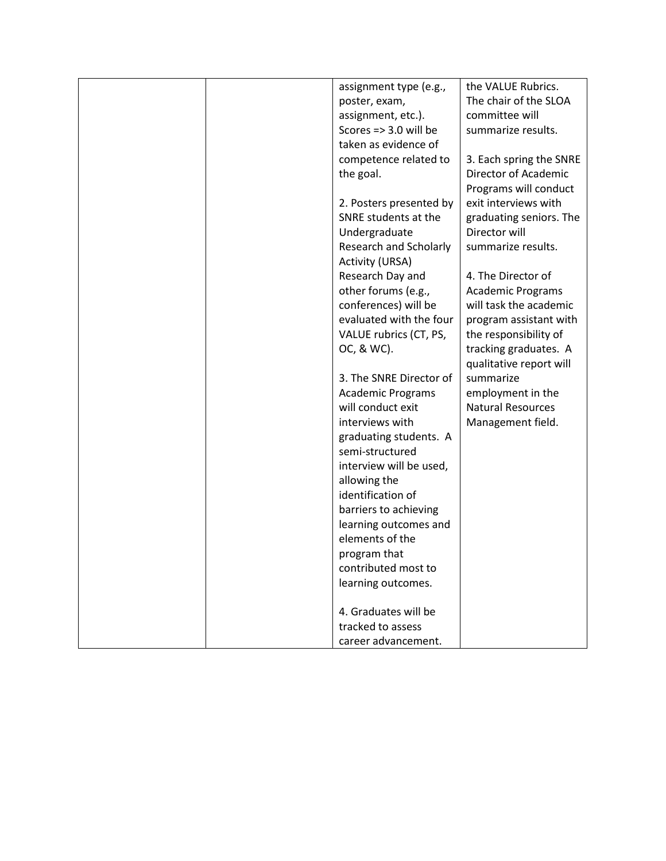|  | assignment type (e.g.,           | the VALUE Rubrics.       |
|--|----------------------------------|--------------------------|
|  | poster, exam,                    | The chair of the SLOA    |
|  | assignment, etc.).               | committee will           |
|  | Scores $\Rightarrow$ 3.0 will be | summarize results.       |
|  | taken as evidence of             |                          |
|  | competence related to            | 3. Each spring the SNRE  |
|  | the goal.                        | Director of Academic     |
|  |                                  | Programs will conduct    |
|  | 2. Posters presented by          | exit interviews with     |
|  | SNRE students at the             | graduating seniors. The  |
|  | Undergraduate                    | Director will            |
|  | Research and Scholarly           | summarize results.       |
|  | <b>Activity (URSA)</b>           |                          |
|  | Research Day and                 | 4. The Director of       |
|  | other forums (e.g.,              | <b>Academic Programs</b> |
|  | conferences) will be             | will task the academic   |
|  | evaluated with the four          | program assistant with   |
|  | VALUE rubrics (CT, PS,           | the responsibility of    |
|  | OC, & WC).                       | tracking graduates. A    |
|  |                                  | qualitative report will  |
|  | 3. The SNRE Director of          | summarize                |
|  | <b>Academic Programs</b>         | employment in the        |
|  | will conduct exit                | <b>Natural Resources</b> |
|  | interviews with                  | Management field.        |
|  | graduating students. A           |                          |
|  | semi-structured                  |                          |
|  | interview will be used,          |                          |
|  | allowing the                     |                          |
|  | identification of                |                          |
|  | barriers to achieving            |                          |
|  | learning outcomes and            |                          |
|  | elements of the                  |                          |
|  | program that                     |                          |
|  | contributed most to              |                          |
|  | learning outcomes.               |                          |
|  |                                  |                          |
|  | 4. Graduates will be             |                          |
|  | tracked to assess                |                          |
|  | career advancement.              |                          |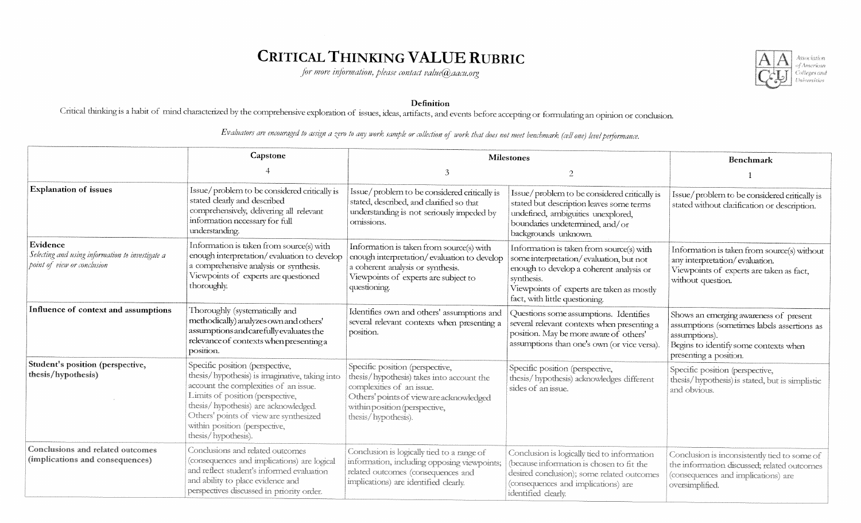# CRITICAL THINKING VALUE RUBRIC

for more information, please contact value@aacu.org



#### Definition

Critical thinking is a habit of mind characterized by the comprehensive exploration of issues, ideas, artifacts, and events before accepting or formulating an opinion or conclusion.

|                                                                                             | Capstone                                                                                                                                                                                                                                                                                                | <b>Milestones</b>                                                                                                                                                                                           |                                                                                                                                                                                                                              | <b>Benchmark</b>                                                                                                                                                          |
|---------------------------------------------------------------------------------------------|---------------------------------------------------------------------------------------------------------------------------------------------------------------------------------------------------------------------------------------------------------------------------------------------------------|-------------------------------------------------------------------------------------------------------------------------------------------------------------------------------------------------------------|------------------------------------------------------------------------------------------------------------------------------------------------------------------------------------------------------------------------------|---------------------------------------------------------------------------------------------------------------------------------------------------------------------------|
|                                                                                             |                                                                                                                                                                                                                                                                                                         | 3                                                                                                                                                                                                           | $\overline{2}$                                                                                                                                                                                                               |                                                                                                                                                                           |
| <b>Explanation of issues</b>                                                                | Issue/problem to be considered critically is<br>stated clearly and described<br>comprehensively, delivering all relevant<br>information necessary for full<br>understanding.                                                                                                                            | Issue/problem to be considered critically is<br>stated, described, and clarified so that<br>understanding is not seriously impeded by<br>omissions.                                                         | Issue/problem to be considered critically is<br>stated but description leaves some terms<br>undefined, ambiguities unexplored,<br>boundaries undetermined, and/or<br>backgrounds unknown.                                    | Issue/problem to be considered critically is<br>stated without clarification or description.                                                                              |
| Evidence<br>Selecting and using information to investigate a<br>point of view or conclusion | Information is taken from source(s) with<br>enough interpretation/evaluation to develop<br>a comprehensive analysis or synthesis.<br>Viewpoints of experts are questioned<br>thoroughly.                                                                                                                | Information is taken from source(s) with<br>enough interpretation/evaluation to develop<br>a coherent analysis or synthesis.<br>Viewpoints of experts are subject to<br>questioning.                        | Information is taken from source(s) with<br>some interpretation/evaluation, but not<br>enough to develop a coherent analysis or<br>synthesis.<br>Viewpoints of experts are taken as mostly<br>fact, with little questioning. | Information is taken from source(s) without<br>any interpretation/evaluation.<br>Viewpoints of experts are taken as fact,<br>without question.                            |
| Influence of context and assumptions                                                        | Thoroughly (systematically and<br>methodically) analyzes own and others'<br>assumptions and carefully evaluates the<br>relevance of contexts when presenting a<br>position.                                                                                                                             | Identifies own and others' assumptions and<br>several relevant contexts when presenting a<br>position.                                                                                                      | Questions some assumptions. Identifies<br>several relevant contexts when presenting a<br>position. May be more aware of others'<br>assumptions than one's own (or vice versa).                                               | Shows an emerging awareness of present<br>assumptions (sometimes labels assertions as<br>assumptions).<br>Begins to identify some contexts when<br>presenting a position. |
| Student's position (perspective,<br>thesis/hypothesis)                                      | Specific position (perspective,<br>thesis/hypothesis) is imaginative, taking into<br>account the complexities of an issue.<br>Limits of position (perspective,<br>thesis/hypothesis) are acknowledged.<br>Others' points of vieware synthesized<br>within position (perspective,<br>thesis/hypothesis). | Specific position (perspective,<br>thesis/hypothesis) takes into account the<br>complexities of an issue.<br>Others' points of vieware acknowledged<br>within position (perspective,<br>thesis/hypothesis). | Specific position (perspective,<br>thesis/hypothesis) acknowledges different<br>sides of an issue.                                                                                                                           | Specific position (perspective,<br>thesis/hypothesis) is stated, but is simplistic<br>and obvious.                                                                        |
| <b>Conclusions and related outcomes</b><br>(implications and consequences)                  | Conclusions and related outcomes<br>(consequences and implications) are logical<br>and reflect student's informed evaluation<br>and ability to place evidence and<br>perspectives discussed in priority order.                                                                                          | Conclusion is logically tied to a range of<br>information, including opposing viewpoints;<br>related outcomes (consequences and<br>implications) are identified clearly.                                    | Conclusion is logically tied to information<br>(because information is chosen to fit the<br>desired conclusion); some related outcomes<br>(consequences and implications) are<br>identified clearly.                         | Conclusion is inconsistently tied to some of<br>the information discussed; related outcomes<br>(consequences and implications) are<br>oversimplified.                     |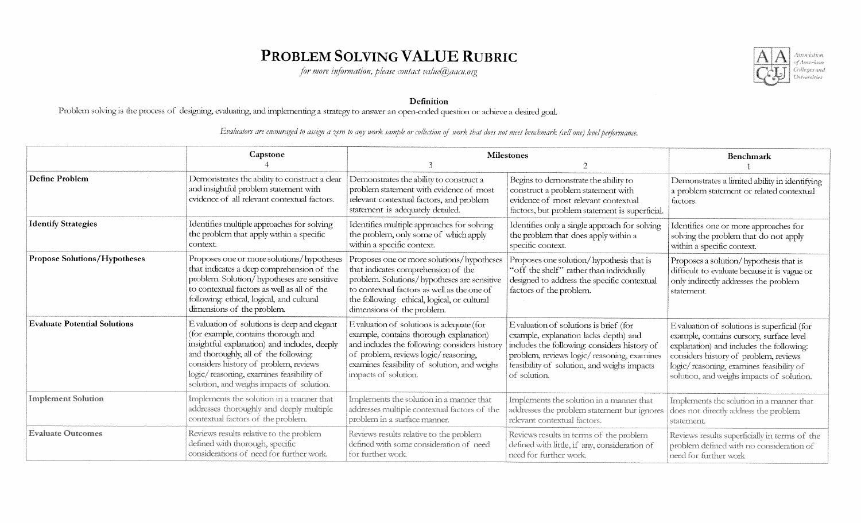### PROBLEM SOLVING VALUE RUBRIC

for more information, please contact value@aacu.org



Definition

Problem solving is the process of designing, evaluating, and implementing a strategy to answer an open-ended question or achieve a desired goal.

|                                     | Capstone                                                                                                                                                                                                                                                                                                       | <b>Milestones</b>                                                                                                                                                                                                                                            |                                                                                                                                                                                                                                             | <b>Benchmark</b>                                                                                                                                                                                                                                                      |
|-------------------------------------|----------------------------------------------------------------------------------------------------------------------------------------------------------------------------------------------------------------------------------------------------------------------------------------------------------------|--------------------------------------------------------------------------------------------------------------------------------------------------------------------------------------------------------------------------------------------------------------|---------------------------------------------------------------------------------------------------------------------------------------------------------------------------------------------------------------------------------------------|-----------------------------------------------------------------------------------------------------------------------------------------------------------------------------------------------------------------------------------------------------------------------|
|                                     |                                                                                                                                                                                                                                                                                                                |                                                                                                                                                                                                                                                              |                                                                                                                                                                                                                                             |                                                                                                                                                                                                                                                                       |
| Define Problem                      | Demonstrates the ability to construct a clear<br>and insightful problem statement with<br>evidence of all relevant contextual factors.                                                                                                                                                                         | Demonstrates the ability to construct a<br>problem statement with evidence of most<br>relevant contextual factors, and problem<br>statement is adequately detailed.                                                                                          | Begins to demonstrate the ability to<br>construct a problem statement with<br>evidence of most relevant contextual<br>factors, but problem statement is superficial.                                                                        | Demonstrates a limited ability in identifying<br>a problem statement or related contextual<br>factors.                                                                                                                                                                |
| <b>Identify Strategies</b>          | Identifies multiple approaches for solving<br>the problem that apply within a specific<br>context.                                                                                                                                                                                                             | Identifies multiple approaches for solving<br>the problem, only some of which apply<br>within a specific context.                                                                                                                                            | Identifies only a single approach for solving<br>the problem that does apply within a<br>specific context.                                                                                                                                  | Identifies one or more approaches for<br>solving the problem that do not apply<br>within a specific context.                                                                                                                                                          |
| <b>Propose Solutions/Hypotheses</b> | Proposes one or more solutions/hypotheses<br>that indicates a deep comprehension of the<br>problem. Solution/hypotheses are sensitive<br>to contextual factors as well as all of the<br>following: ethical, logical, and cultural<br>dimensions of the problem.                                                | Proposes one or more solutions/hypotheses<br>that indicates comprehension of the<br>problem. Solutions/hypotheses are sensitive<br>to contextual factors as well as the one of<br>the following: ethical, logical, or cultural<br>dimensions of the problem. | Proposes one solution/hypothesis that is<br>"off the shelf" rather than individually<br>designed to address the specific contextual<br>factors of the problem.                                                                              | Proposes a solution/hypothesis that is<br>difficult to evaluate because it is vague or<br>only indirectly addresses the problem<br>statement.                                                                                                                         |
| <b>Evaluate Potential Solutions</b> | E valuation of solutions is deep and elegant<br>(for example, contains thorough and<br>insightful explanation) and includes, deeply<br>and thoroughly, all of the following:<br>considers history of problem, reviews<br>logic/reasoning, examines feasibility of<br>solution, and weighs impacts of solution. | Evaluation of solutions is adequate (for<br>example, contains thorough explanation)<br>and includes the following: considers history<br>of problem, reviews logic/reasoning,<br>examines feasibility of solution, and weighs<br>impacts of solution.         | Evaluation of solutions is brief (for<br>example, explanation lacks depth) and<br>includes the following: considers history of<br>problem, reviews logic/reasoning, examines<br>feasibility of solution, and weighs impacts<br>of solution. | Evaluation of solutions is superficial (for<br>example, contains cursory, surface level<br>explanation) and includes the following:<br>considers history of problem, reviews<br>logic/reasoning, examines feasibility of<br>solution, and weighs impacts of solution. |
| <b>Implement Solution</b>           | Implements the solution in a manner that<br>addresses thoroughly and deeply multiple<br>contextual factors of the problem.                                                                                                                                                                                     | Implements the solution in a manner that<br>addresses multiple contextual factors of the<br>problem in a surface manner.                                                                                                                                     | Implements the solution in a manner that<br>addresses the problem statement but ignores<br>relevant contextual factors.                                                                                                                     | Implements the solution in a manner that<br>does not directly address the problem<br>statement.                                                                                                                                                                       |
| <b>Evaluate Outcomes</b>            | Reviews results relative to the problem<br>defined with thorough, specific<br>considerations of need for further work.                                                                                                                                                                                         | Reviews results relative to the problem<br>defined with some consideration of need<br>for further work.                                                                                                                                                      | Reviews results in terms of the problem<br>defined with little, if any, consideration of<br>need for further work.                                                                                                                          | Reviews results superficially in terms of the<br>problem defined with no consideration of<br>need for further work                                                                                                                                                    |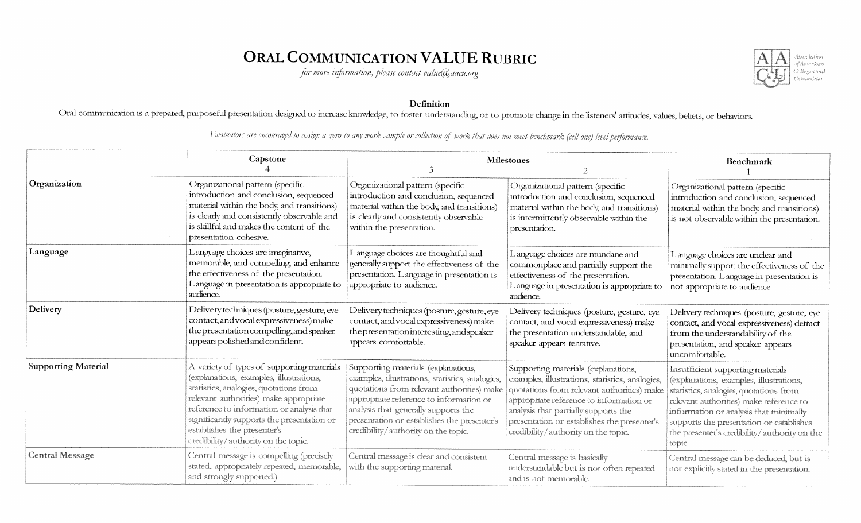### ORAL COMMUNICATION VALUE RUBRIC

for more information, please contact value  $@$  aacu.org



### Definition

Oral communication is a prepared, purposeful presentation designed to increase knowledge, to foster understanding, or to promote change in the listeners' attitudes, values, beliefs, or behaviors.

|                            | Capstone                                                                                                                                                                                                                                                                                                                                   | <b>Milestones</b>                                                                                                                                                                                                                                                                                             |                                                                                                                                                                                                                                                                                                               | Benchmark                                                                                                                                                                                                                                                                                                         |
|----------------------------|--------------------------------------------------------------------------------------------------------------------------------------------------------------------------------------------------------------------------------------------------------------------------------------------------------------------------------------------|---------------------------------------------------------------------------------------------------------------------------------------------------------------------------------------------------------------------------------------------------------------------------------------------------------------|---------------------------------------------------------------------------------------------------------------------------------------------------------------------------------------------------------------------------------------------------------------------------------------------------------------|-------------------------------------------------------------------------------------------------------------------------------------------------------------------------------------------------------------------------------------------------------------------------------------------------------------------|
| Organization               | Organizational pattern (specific<br>introduction and conclusion, sequenced<br>material within the body, and transitions)<br>is clearly and consistently observable and<br>is skillful and makes the content of the<br>presentation cohesive.                                                                                               | Organizational pattern (specific<br>introduction and conclusion, sequenced<br>material within the body, and transitions)<br>is clearly and consistently observable<br>within the presentation.                                                                                                                | Organizational pattern (specific<br>introduction and conclusion, sequenced<br>material within the body, and transitions)<br>is intermittently observable within the<br>presentation.                                                                                                                          | Organizational pattern (specific<br>introduction and conclusion, sequenced<br>material within the body, and transitions)<br>is not observable within the presentation.                                                                                                                                            |
| Language                   | L anguage choices are imaginative,<br>memorable, and compelling, and enhance<br>the effectiveness of the presentation.<br>L anguage in presentation is appropriate to<br>audience.                                                                                                                                                         | Language choices are thoughtful and<br>generally support the effectiveness of the<br>presentation. L anguage in presentation is<br>appropriate to audience.                                                                                                                                                   | L anguage choices are mundane and<br>commonplace and partially support the<br>effectiveness of the presentation.<br>L anguage in presentation is appropriate to<br>audience.                                                                                                                                  | Language choices are unclear and<br>minimally support the effectiveness of the<br>presentation. L anguage in presentation is<br>not appropriate to audience.                                                                                                                                                      |
| Delivery                   | Delivery techniques (posture, gesture, eye<br>contact, and vocal expressiveness) make<br>the presentation compelling, and speaker<br>appears polished and confident.                                                                                                                                                                       | Delivery techniques (posture, gesture, eye<br>contact, and vocal expressiveness) make<br>the presentation interesting, and speaker<br>appears comfortable.                                                                                                                                                    | Delivery techniques (posture, gesture, eye<br>contact, and vocal expressiveness) make<br>the presentation understandable, and<br>speaker appears tentative.                                                                                                                                                   | Delivery techniques (posture, gesture, eye<br>contact, and vocal expressiveness) detract<br>from the understandability of the<br>presentation, and speaker appears<br>uncomfortable.                                                                                                                              |
| <b>Supporting Material</b> | A variety of types of supporting materials<br>(explanations, examples, illustrations,<br>statistics, analogies, quotations from<br>relevant authorities) make appropriate<br>reference to information or analysis that<br>significantly supports the presentation or<br>establishes the presenter's<br>credibility/authority on the topic. | Supporting materials (explanations,<br>examples, illustrations, statistics, analogies,<br>quotations from relevant authorities) make<br>appropriate reference to information or<br>analysis that generally supports the<br>presentation or establishes the presenter's<br>credibility/authority on the topic. | Supporting materials (explanations,<br>examples, illustrations, statistics, analogies,<br>quotations from relevant authorities) make<br>appropriate reference to information or<br>analysis that partially supports the<br>presentation or establishes the presenter's<br>credibility/authority on the topic. | Insufficient supporting materials<br>(explanations, examples, illustrations,<br>statistics, analogies, quotations from<br>relevant authorities) make reference to<br>information or analysis that minimally<br>supports the presentation or establishes<br>the presenter's credibility/authority on the<br>topic. |
| <b>Central Message</b>     | Central message is compelling (precisely<br>stated, appropriately repeated, memorable,<br>and strongly supported.)                                                                                                                                                                                                                         | Central message is clear and consistent<br>with the supporting material.                                                                                                                                                                                                                                      | Central message is basically<br>understandable but is not often repeated<br>and is not memorable.                                                                                                                                                                                                             | Central message can be deduced, but is<br>not explicitly stated in the presentation.                                                                                                                                                                                                                              |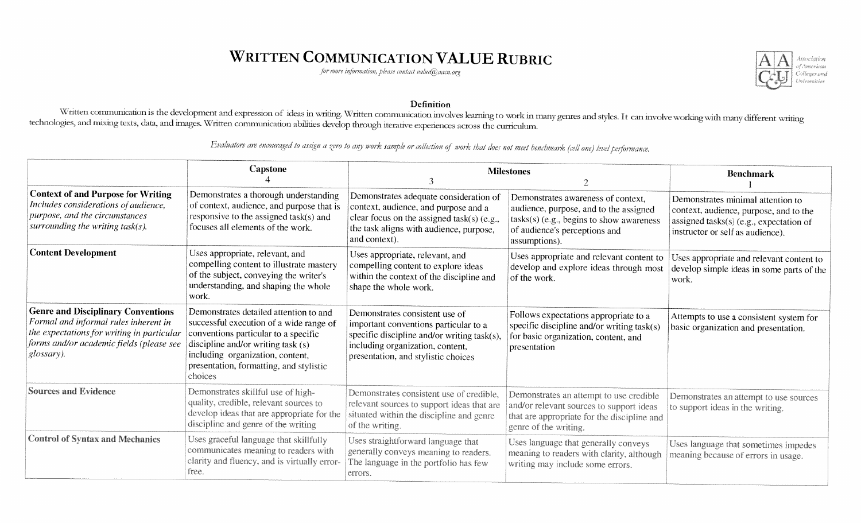# **WRITTEN COMMUNICATION VALUE RUBRIC**

for more information, please contact value@aacu.org



#### Definition

Written communication is the development and expression of ideas in writing. Written communication involves learning to work in many genres and styles. It can involve working with many different writing technologies, and mixing texts, data, and images. Written communication abilities develop through iterative experiences across the curriculum.

|                                                                                                                                                                                            | Capstone                                                                                                                                                                                                                                                  | <b>Milestones</b>                                                                                                                                                                                 |                                                                                                                                                                            | <b>Benchmark</b>                                                                                                                                              |
|--------------------------------------------------------------------------------------------------------------------------------------------------------------------------------------------|-----------------------------------------------------------------------------------------------------------------------------------------------------------------------------------------------------------------------------------------------------------|---------------------------------------------------------------------------------------------------------------------------------------------------------------------------------------------------|----------------------------------------------------------------------------------------------------------------------------------------------------------------------------|---------------------------------------------------------------------------------------------------------------------------------------------------------------|
|                                                                                                                                                                                            |                                                                                                                                                                                                                                                           |                                                                                                                                                                                                   |                                                                                                                                                                            |                                                                                                                                                               |
| <b>Context of and Purpose for Writing</b><br>Includes considerations of audience,<br>purpose, and the circumstances<br>surrounding the writing task( $s$ ).                                | Demonstrates a thorough understanding<br>of context, audience, and purpose that is<br>responsive to the assigned task(s) and<br>focuses all elements of the work.                                                                                         | Demonstrates adequate consideration of<br>context, audience, and purpose and a<br>clear focus on the assigned task(s) (e.g.,<br>the task aligns with audience, purpose,<br>and context).          | Demonstrates awareness of context,<br>audience, purpose, and to the assigned<br>tasks(s) (e.g., begins to show awareness<br>of audience's perceptions and<br>assumptions). | Demonstrates minimal attention to<br>context, audience, purpose, and to the<br>assigned tasks $(s)$ (e.g., expectation of<br>instructor or self as audience). |
| <b>Content Development</b>                                                                                                                                                                 | Uses appropriate, relevant, and<br>compelling content to illustrate mastery<br>of the subject, conveying the writer's<br>understanding, and shaping the whole<br>work.                                                                                    | Uses appropriate, relevant, and<br>compelling content to explore ideas<br>within the context of the discipline and<br>shape the whole work.                                                       | Uses appropriate and relevant content to<br>develop and explore ideas through most<br>of the work.                                                                         | Uses appropriate and relevant content to<br>develop simple ideas in some parts of the<br>work.                                                                |
| <b>Genre and Disciplinary Conventions</b><br>Formal and informal rules inherent in<br>the expectations for writing in particular<br>forms and/or academic fields (please see<br>glossary). | Demonstrates detailed attention to and<br>successful execution of a wide range of<br>conventions particular to a specific<br>discipline and/or writing task (s)<br>including organization, content,<br>presentation, formatting, and stylistic<br>choices | Demonstrates consistent use of<br>important conventions particular to a<br>specific discipline and/or writing task(s),<br>including organization, content,<br>presentation, and stylistic choices | Follows expectations appropriate to a<br>specific discipline and/or writing $task(s)$<br>for basic organization, content, and<br>presentation                              | Attempts to use a consistent system for<br>basic organization and presentation.                                                                               |
| <b>Sources and Evidence</b>                                                                                                                                                                | Demonstrates skillful use of high-<br>quality, credible, relevant sources to<br>develop ideas that are appropriate for the<br>discipline and genre of the writing                                                                                         | Demonstrates consistent use of credible,<br>relevant sources to support ideas that are<br>situated within the discipline and genre<br>of the writing.                                             | Demonstrates an attempt to use credible<br>and/or relevant sources to support ideas<br>that are appropriate for the discipline and<br>genre of the writing.                | Demonstrates an attempt to use sources<br>to support ideas in the writing.                                                                                    |
| <b>Control of Syntax and Mechanics</b>                                                                                                                                                     | Uses graceful language that skillfully<br>communicates meaning to readers with<br>clarity and fluency, and is virtually error-<br>free.                                                                                                                   | Uses straightforward language that<br>generally conveys meaning to readers.<br>The language in the portfolio has few<br>errors.                                                                   | Uses language that generally conveys<br>meaning to readers with clarity, although<br>writing may include some errors.                                                      | Uses language that sometimes impedes<br>meaning because of errors in usage.                                                                                   |